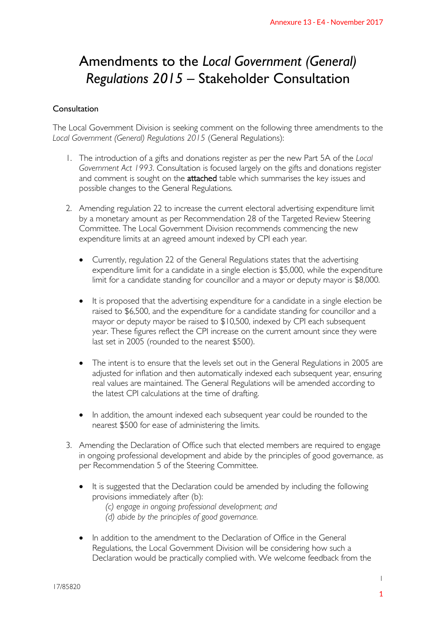### Amendments to the *Local Government (General) Regulations 2015* – Stakeholder Consultation

#### Consultation

The Local Government Division is seeking comment on the following three amendments to the *Local Government (General) Regulations 2015* (General Regulations):

- 1. The introduction of a gifts and donations register as per the new Part 5A of the *Local Government Act 1993*. Consultation is focused largely on the gifts and donations register and comment is sought on the attached table which summarises the key issues and possible changes to the General Regulations.
- 2. Amending regulation 22 to increase the current electoral advertising expenditure limit by a monetary amount as per Recommendation 28 of the Targeted Review Steering Committee. The Local Government Division recommendscommencing the new expenditure limits at an agreed amount indexed by CPI each year.
	- Currently, regulation 22 of the General Regulations states that the advertising expenditure limit for a candidate in a single election is \$5,000, while the expenditure limit for a candidate standing for councillor and a mayor or deputy mayor is \$8,000.
- It is proposed that the advertising expenditure for a candidate in a single election be raised to \$6,500, and the expenditure for a candidate standing for councillor and a mayor or deputy mayor be raised to \$10,500, indexed by CPI each subsequent year. These figures reflect the CPI increase on the current amount since they were last set in 2005 (rounded to the nearest \$500). Annexure 13 - E4 - November 2017<br> **12.17 Consultation**<br>
Consultation<br>
Using three amendments to the<br>
Using three amendments to the<br>
using the experiment of the *Local*<br>
in the gifts and donations register<br>
manaises the k
	- The intent is to ensure that the levels set out in the General Regulations in 2005 are adjusted for inflation and then automatically indexed each subsequent year, ensuring real values are maintained. The General Regulations will be amended according to the latest CPI calculations at the time of drafting.
	- In addition, the amount indexed each subsequent year could be rounded to the nearest \$500 for ease of administering the limits.
- 3. Amending the Declaration of Office such that elected members are required to engage in ongoing professional development and abide by the principles of good governance, as per Recommendation 5 of the Steering Committee.
	- It is suggested that the Declaration could be amended by including the following provisions immediately after (b):

*(c) engage in ongoing professional development; and (d) abide by the principles of good governance.*

 In addition to the amendment to the Declaration of Office in the General Regulations, the Local Government Division will be considering how such a Declaration would be practically complied with. We welcome feedback from the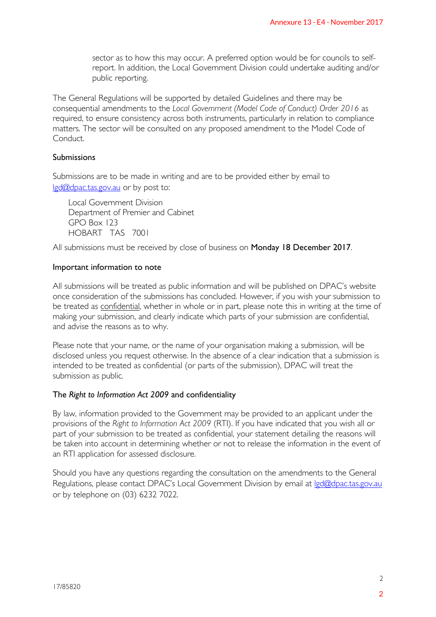sector as to how this may occur. A preferred option would be for councils to selfreport. In addition, the Local Government Division could undertake auditing and/or public reporting.

The General Regulations will be supported by detailed Guidelines and there may be consequential amendments to the *Local Government (Model Code of Conduct) Order 2016* as required, to ensure consistency across both instruments, particularly in relation to compliance matters. The sector will be consulted on any proposed amendment to the Model Code of **Conduct** 

#### Submissions

Submissions are to be made in writing and are to be provided either by email to lgd@dpac.tas.gov.au or by post to:

Local Government Division Department of Premier and Cabinet GPO Box 123 HOBART TAS 7001

All submissions must be received by close of business on Monday 18 December 2017.

#### Important information to note

All submissions will be treated as public information and will be published on DPAC's website once consideration of the submissions has concluded. However, if you wish your submission to be treated as confidential, whether in whole or in part, please note this in writing at the time of making your submission, and clearly indicate which parts of your submission are confidential, and advise the reasons as to why. Annexure 13 - E4 - November 2017<br>
The vould be for councils to self-<br>
could undertake auditing and/or<br>
nes and there may be<br>
de of Conduct) Order 2016 as<br>
larly in relation to compliance<br>
ment to the Model Code of<br>
either

Please note that your name, or the name of your organisation making a submission, will be disclosed unless you request otherwise. In the absence of a clear indication that a submission is intended to be treated as confidential (or parts of the submission), DPAC will treat the submission as public.

#### The *Right to Information Act 2009* and confidentiality

By law, information provided to the Government may be provided to an applicant under the provisions of the *Right to Information Act 2009* (RTI). If you have indicated that you wish all or part of your submission to be treated as confidential, your statement detailing the reasons will be taken into account in determining whether or not to release the information in the event of an RTI application for assessed disclosure.

Should you have any questions regarding the consultation on the amendments to the General Regulations, please contact DPAC's Local Government Division by email at lgd@dpac.tas.gov.au or by telephone on (03) 6232 7022.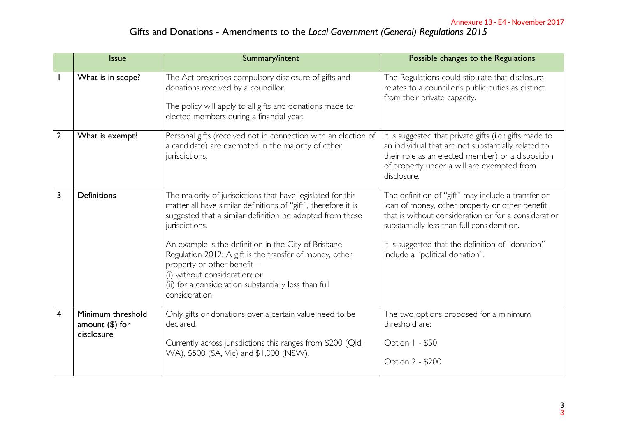|              | <b>Issue</b>                                         | Summary/intent                                                                                                                                                                                                                                                                                                                                                                                                                                                           | Possible changes to the Regulations                                                                                                                                                                                                                                                                 |
|--------------|------------------------------------------------------|--------------------------------------------------------------------------------------------------------------------------------------------------------------------------------------------------------------------------------------------------------------------------------------------------------------------------------------------------------------------------------------------------------------------------------------------------------------------------|-----------------------------------------------------------------------------------------------------------------------------------------------------------------------------------------------------------------------------------------------------------------------------------------------------|
|              | What is in scope?                                    | The Act prescribes compulsory disclosure of gifts and<br>donations received by a councillor.<br>The policy will apply to all gifts and donations made to<br>elected members during a financial year.                                                                                                                                                                                                                                                                     | The Regulations could stipulate that disclosure<br>relates to a councillor's public duties as distinct<br>from their private capacity.                                                                                                                                                              |
| $\mathbf{2}$ | What is exempt?                                      | Personal gifts (received not in connection with an election of<br>a candidate) are exempted in the majority of other<br>jurisdictions.                                                                                                                                                                                                                                                                                                                                   | It is suggested that private gifts (i.e.: gifts made to<br>an individual that are not substantially related to<br>their role as an elected member) or a disposition<br>of property under a will are exempted from<br>disclosure.                                                                    |
| 3            | <b>Definitions</b>                                   | The majority of jurisdictions that have legislated for this<br>matter all have similar definitions of "gift", therefore it is<br>suggested that a similar definition be adopted from these<br>jurisdictions.<br>An example is the definition in the City of Brisbane<br>Regulation 2012: A gift is the transfer of money, other<br>property or other benefit-<br>(i) without consideration; or<br>(ii) for a consideration substantially less than full<br>consideration | The definition of "gift" may include a transfer or<br>loan of money, other property or other benefit<br>that is without consideration or for a consideration<br>substantially less than full consideration.<br>It is suggested that the definition of "donation"<br>include a "political donation". |
| 4            | Minimum threshold<br>amount $(\$)$ for<br>disclosure | Only gifts or donations over a certain value need to be<br>declared.<br>Currently across jurisdictions this ranges from \$200 (Qld,<br>WA), \$500 (SA, Vic) and \$1,000 (NSW).                                                                                                                                                                                                                                                                                           | The two options proposed for a minimum<br>threshold are:<br>Option I - \$50<br>Option 2 - \$200                                                                                                                                                                                                     |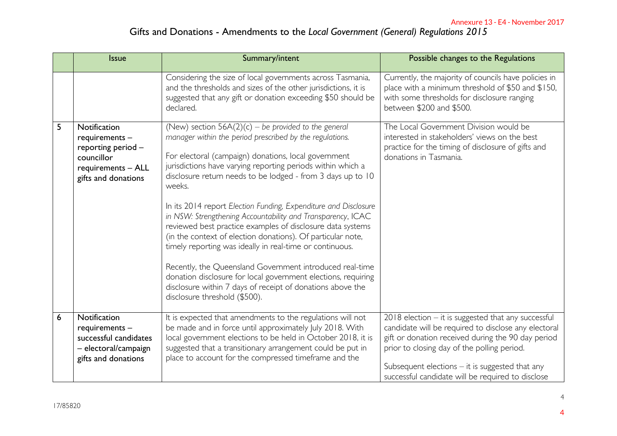| Annexure 13 - E4 - November 2017<br>Gifts and Donations - Amendments to the Local Government (General) Regulations 2015 |                                                                                                                 |                                                                                                                                                                                                                                                                                                                                                                                                                                                                                                                                                                                                                                                                                                                                                                                                                                                                           |                                                                                                                                                                                                                                                                                                                                |  |  |  |
|-------------------------------------------------------------------------------------------------------------------------|-----------------------------------------------------------------------------------------------------------------|---------------------------------------------------------------------------------------------------------------------------------------------------------------------------------------------------------------------------------------------------------------------------------------------------------------------------------------------------------------------------------------------------------------------------------------------------------------------------------------------------------------------------------------------------------------------------------------------------------------------------------------------------------------------------------------------------------------------------------------------------------------------------------------------------------------------------------------------------------------------------|--------------------------------------------------------------------------------------------------------------------------------------------------------------------------------------------------------------------------------------------------------------------------------------------------------------------------------|--|--|--|
|                                                                                                                         | <b>Issue</b>                                                                                                    | Summary/intent                                                                                                                                                                                                                                                                                                                                                                                                                                                                                                                                                                                                                                                                                                                                                                                                                                                            | Possible changes to the Regulations                                                                                                                                                                                                                                                                                            |  |  |  |
|                                                                                                                         |                                                                                                                 | Considering the size of local governments across Tasmania,<br>and the thresholds and sizes of the other jurisdictions, it is<br>suggested that any gift or donation exceeding \$50 should be<br>declared.                                                                                                                                                                                                                                                                                                                                                                                                                                                                                                                                                                                                                                                                 | Currently, the majority of councils have policies in<br>place with a minimum threshold of \$50 and \$150,<br>with some thresholds for disclosure ranging<br>between \$200 and \$500.                                                                                                                                           |  |  |  |
| 5                                                                                                                       | Notification<br>requirements -<br>reporting period -<br>councillor<br>requirements - ALL<br>gifts and donations | (New) section $56A(2)(c)$ – be provided to the general<br>manager within the period prescribed by the regulations.<br>For electoral (campaign) donations, local government<br>jurisdictions have varying reporting periods within which a<br>disclosure return needs to be lodged - from 3 days up to 10<br>weeks.<br>In its 2014 report Election Funding, Expenditure and Disclosure<br>in NSW: Strengthening Accountability and Transparency, ICAC<br>reviewed best practice examples of disclosure data systems<br>(in the context of election donations). Of particular note,<br>timely reporting was ideally in real-time or continuous.<br>Recently, the Queensland Government introduced real-time<br>donation disclosure for local government elections, requiring<br>disclosure within 7 days of receipt of donations above the<br>disclosure threshold (\$500). | The Local Government Division would be<br>interested in stakeholders' views on the best<br>practice for the timing of disclosure of gifts and<br>donations in Tasmania.                                                                                                                                                        |  |  |  |
| 6                                                                                                                       | Notification<br>requirements -<br>successful candidates<br>– electoral/campaign<br>gifts and donations          | It is expected that amendments to the regulations will not<br>be made and in force until approximately July 2018. With<br>local government elections to be held in October 2018, it is<br>suggested that a transitionary arrangement could be put in<br>place to account for the compressed timeframe and the                                                                                                                                                                                                                                                                                                                                                                                                                                                                                                                                                             | $2018$ election $-$ it is suggested that any successful<br>candidate will be required to disclose any electoral<br>gift or donation received during the 90 day period<br>prior to closing day of the polling period.<br>Subsequent elections $-$ it is suggested that any<br>successful candidate will be required to disclose |  |  |  |
| 17/85820                                                                                                                |                                                                                                                 |                                                                                                                                                                                                                                                                                                                                                                                                                                                                                                                                                                                                                                                                                                                                                                                                                                                                           |                                                                                                                                                                                                                                                                                                                                |  |  |  |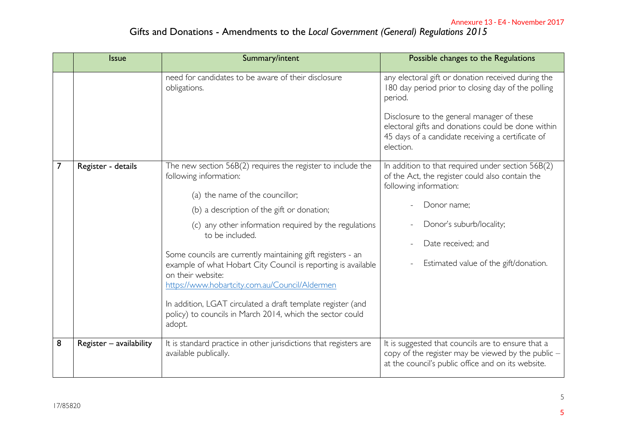|   | <b>Issue</b>            | Summary/intent                                                                                                                       | Possible changes to the Regulations                                                                                                                                |
|---|-------------------------|--------------------------------------------------------------------------------------------------------------------------------------|--------------------------------------------------------------------------------------------------------------------------------------------------------------------|
|   |                         | need for candidates to be aware of their disclosure<br>obligations.                                                                  | any electoral gift or donation received during the<br>180 day period prior to closing day of the polling<br>period.                                                |
|   |                         |                                                                                                                                      | Disclosure to the general manager of these<br>electoral gifts and donations could be done within<br>45 days of a candidate receiving a certificate of<br>election. |
| 7 | Register - details      | The new section 56B(2) requires the register to include the<br>following information:                                                | In addition to that required under section $56B(2)$<br>of the Act, the register could also contain the<br>following information:                                   |
|   |                         | (a) the name of the councillor;                                                                                                      | Donor name;                                                                                                                                                        |
|   |                         | (b) a description of the gift or donation;                                                                                           |                                                                                                                                                                    |
|   |                         | (c) any other information required by the regulations<br>to be included.                                                             | Donor's suburb/locality;                                                                                                                                           |
|   |                         | Some councils are currently maintaining gift registers - an                                                                          | Date received; and                                                                                                                                                 |
|   |                         | example of what Hobart City Council is reporting is available<br>on their website:<br>https://www.hobartcity.com.au/Council/Aldermen | Estimated value of the gift/donation.                                                                                                                              |
|   |                         | In addition, LGAT circulated a draft template register (and<br>policy) to councils in March 2014, which the sector could<br>adopt.   |                                                                                                                                                                    |
| 8 | Register - availability | It is standard practice in other jurisdictions that registers are<br>available publically.                                           | It is suggested that councils are to ensure that a<br>copy of the register may be viewed by the public $-$<br>at the council's public office and on its website.   |